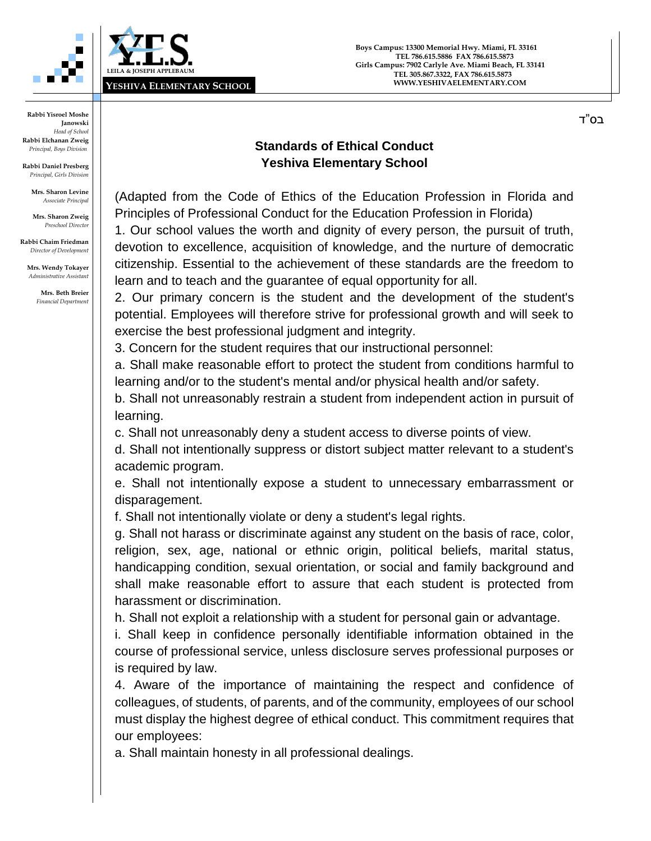

בס"ד

**Rabbi Yisroel Moshe Janowski** *Head of School* **Rabbi Elchanan Zweig** *Principal, Boys Division*

**Rabbi Daniel Presberg** *Principal, Girls Division*

> **Mrs. Sharon Levine** *Associate Principal*

**Mrs. Sharon Zweig** *Preschool Director*

**Rabbi Chaim Friedman** *Director of Development*

**Mrs. Wendy Tokayer** *Administrative Assistant*

> **Mrs. Beth Breier** *Financial Department*

## **Standards of Ethical Conduct Yeshiva Elementary School**

(Adapted from the Code of Ethics of the Education Profession in Florida and Principles of Professional Conduct for the Education Profession in Florida)

1. Our school values the worth and dignity of every person, the pursuit of truth, devotion to excellence, acquisition of knowledge, and the nurture of democratic citizenship. Essential to the achievement of these standards are the freedom to learn and to teach and the guarantee of equal opportunity for all.

2. Our primary concern is the student and the development of the student's potential. Employees will therefore strive for professional growth and will seek to exercise the best professional judgment and integrity.

3. Concern for the student requires that our instructional personnel:

a. Shall make reasonable effort to protect the student from conditions harmful to learning and/or to the student's mental and/or physical health and/or safety.

b. Shall not unreasonably restrain a student from independent action in pursuit of learning.

c. Shall not unreasonably deny a student access to diverse points of view.

d. Shall not intentionally suppress or distort subject matter relevant to a student's academic program.

e. Shall not intentionally expose a student to unnecessary embarrassment or disparagement.

f. Shall not intentionally violate or deny a student's legal rights.

g. Shall not harass or discriminate against any student on the basis of race, color, religion, sex, age, national or ethnic origin, political beliefs, marital status, handicapping condition, sexual orientation, or social and family background and shall make reasonable effort to assure that each student is protected from harassment or discrimination.

h. Shall not exploit a relationship with a student for personal gain or advantage.

i. Shall keep in confidence personally identifiable information obtained in the course of professional service, unless disclosure serves professional purposes or is required by law.

4. Aware of the importance of maintaining the respect and confidence of colleagues, of students, of parents, and of the community, employees of our school must display the highest degree of ethical conduct. This commitment requires that our employees:

a. Shall maintain honesty in all professional dealings.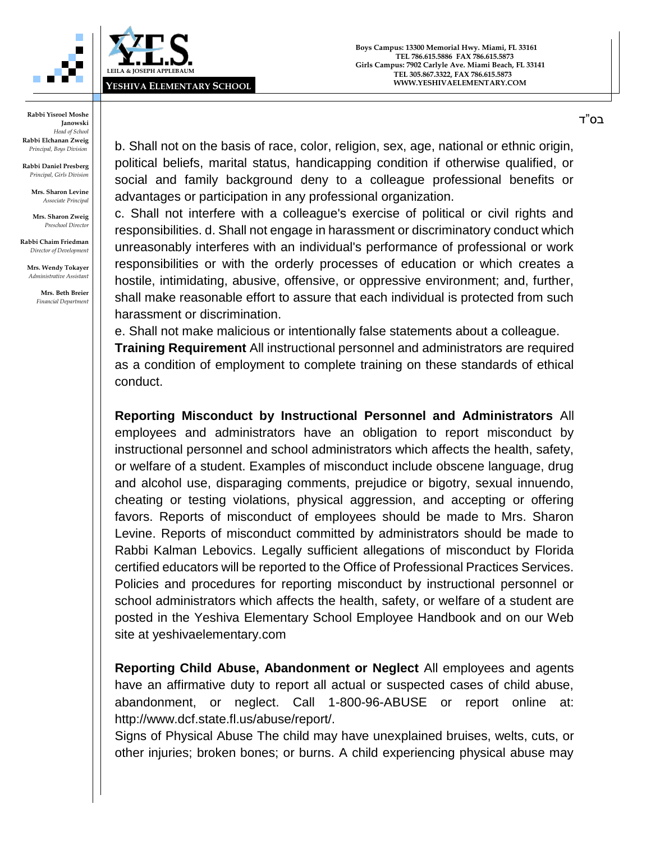



**Rabbi Daniel Presberg** *Principal, Girls Division*

> **Mrs. Sharon Levine** *Associate Principal*

**Mrs. Sharon Zweig** *Preschool Director*

**Rabbi Chaim Friedman** *Director of Development*

**Mrs. Wendy Tokayer** *Administrative Assistant*

> **Mrs. Beth Breier** *Financial Department*

b. Shall not on the basis of race, color, religion, sex, age, national or ethnic origin, political beliefs, marital status, handicapping condition if otherwise qualified, or social and family background deny to a colleague professional benefits or advantages or participation in any professional organization.

c. Shall not interfere with a colleague's exercise of political or civil rights and responsibilities. d. Shall not engage in harassment or discriminatory conduct which unreasonably interferes with an individual's performance of professional or work responsibilities or with the orderly processes of education or which creates a hostile, intimidating, abusive, offensive, or oppressive environment; and, further, shall make reasonable effort to assure that each individual is protected from such harassment or discrimination.

e. Shall not make malicious or intentionally false statements about a colleague.

**Training Requirement** All instructional personnel and administrators are required as a condition of employment to complete training on these standards of ethical conduct.

**Reporting Misconduct by Instructional Personnel and Administrators** All employees and administrators have an obligation to report misconduct by instructional personnel and school administrators which affects the health, safety, or welfare of a student. Examples of misconduct include obscene language, drug and alcohol use, disparaging comments, prejudice or bigotry, sexual innuendo, cheating or testing violations, physical aggression, and accepting or offering favors. Reports of misconduct of employees should be made to Mrs. Sharon Levine. Reports of misconduct committed by administrators should be made to Rabbi Kalman Lebovics. Legally sufficient allegations of misconduct by Florida certified educators will be reported to the Office of Professional Practices Services. Policies and procedures for reporting misconduct by instructional personnel or school administrators which affects the health, safety, or welfare of a student are posted in the Yeshiva Elementary School Employee Handbook and on our Web site at yeshivaelementary.com

**Reporting Child Abuse, Abandonment or Neglect** All employees and agents have an affirmative duty to report all actual or suspected cases of child abuse, abandonment, or neglect. Call 1-800-96-ABUSE or report online at: http://www.dcf.state.fl.us/abuse/report/.

Signs of Physical Abuse The child may have unexplained bruises, welts, cuts, or other injuries; broken bones; or burns. A child experiencing physical abuse may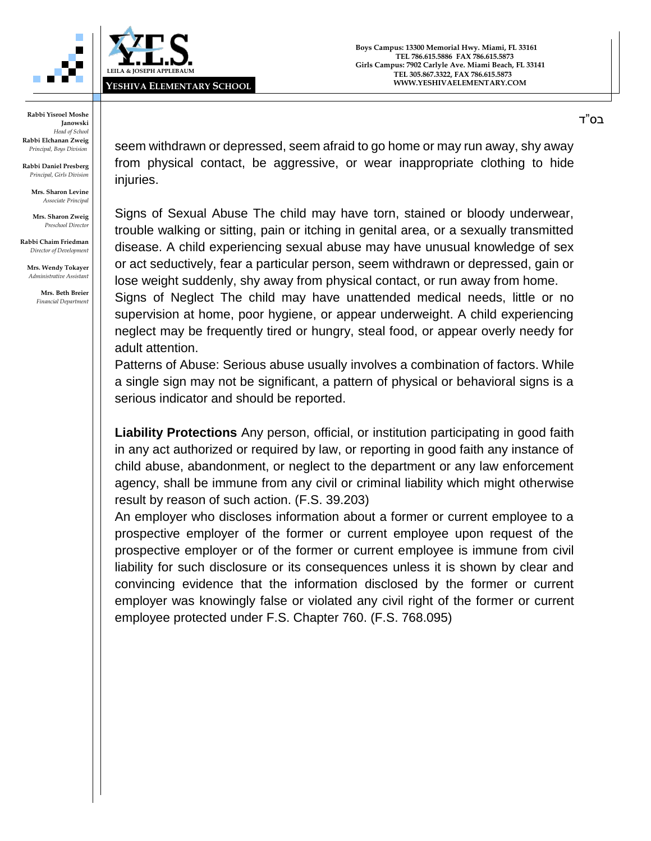



**Rabbi Daniel Presberg** *Principal, Girls Division*

> **Mrs. Sharon Levine** *Associate Principal*

**Mrs. Sharon Zweig** *Preschool Director*

**Rabbi Chaim Friedman** *Director of Development*

**Mrs. Wendy Tokayer** *Administrative Assistant*

> **Mrs. Beth Breier** *Financial Department*

seem withdrawn or depressed, seem afraid to go home or may run away, shy away from physical contact, be aggressive, or wear inappropriate clothing to hide injuries.

Signs of Sexual Abuse The child may have torn, stained or bloody underwear, trouble walking or sitting, pain or itching in genital area, or a sexually transmitted disease. A child experiencing sexual abuse may have unusual knowledge of sex or act seductively, fear a particular person, seem withdrawn or depressed, gain or lose weight suddenly, shy away from physical contact, or run away from home.

Signs of Neglect The child may have unattended medical needs, little or no supervision at home, poor hygiene, or appear underweight. A child experiencing neglect may be frequently tired or hungry, steal food, or appear overly needy for adult attention.

Patterns of Abuse: Serious abuse usually involves a combination of factors. While a single sign may not be significant, a pattern of physical or behavioral signs is a serious indicator and should be reported.

**Liability Protections** Any person, official, or institution participating in good faith in any act authorized or required by law, or reporting in good faith any instance of child abuse, abandonment, or neglect to the department or any law enforcement agency, shall be immune from any civil or criminal liability which might otherwise result by reason of such action. (F.S. 39.203)

An employer who discloses information about a former or current employee to a prospective employer of the former or current employee upon request of the prospective employer or of the former or current employee is immune from civil liability for such disclosure or its consequences unless it is shown by clear and convincing evidence that the information disclosed by the former or current employer was knowingly false or violated any civil right of the former or current employee protected under F.S. Chapter 760. (F.S. 768.095)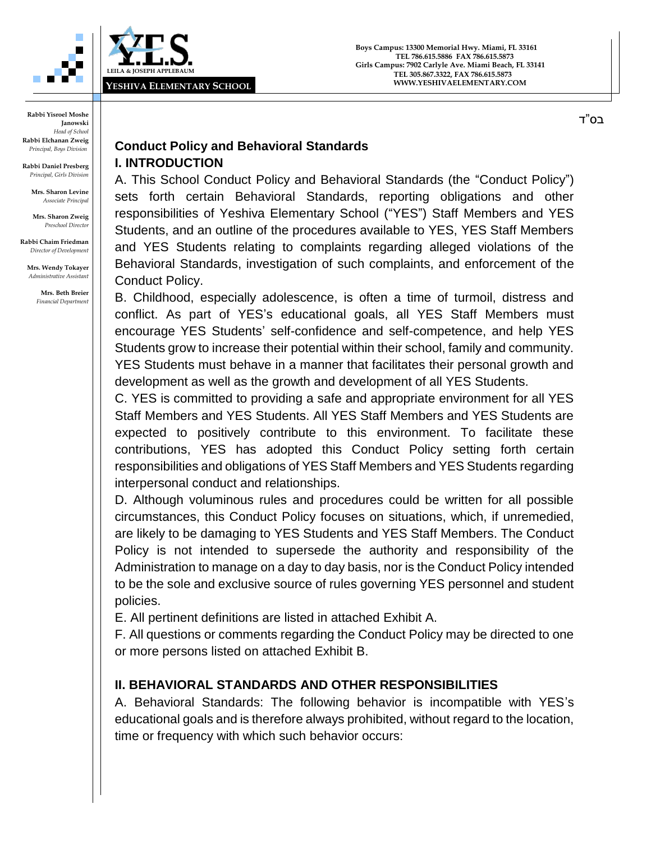

**Boys Campus: 13300 Memorial Hwy. Miami, FL 33161 TEL 786.615.5886 FAX 786.615.5873 Girls Campus: 7902 Carlyle Ave. Miami Beach, FL 33141 TEL 305.867.3322, FAX 786.615.5873 WWW.YESHIVAELEMENTARY.COM**

בס"ד

**Rabbi Yisroel Moshe Janowski** *Head of School* **Rabbi Elchanan Zweig** *Principal, Boys Division*

**Rabbi Daniel Presberg** *Principal, Girls Division*

> **Mrs. Sharon Levine** *Associate Principal*

**Mrs. Sharon Zweig** *Preschool Director*

**Rabbi Chaim Friedman** *Director of Development*

**Mrs. Wendy Tokayer** *Administrative Assistant*

> **Mrs. Beth Breier** *Financial Department*

## **Conduct Policy and Behavioral Standards I. INTRODUCTION**

A. This School Conduct Policy and Behavioral Standards (the "Conduct Policy") sets forth certain Behavioral Standards, reporting obligations and other responsibilities of Yeshiva Elementary School ("YES") Staff Members and YES Students, and an outline of the procedures available to YES, YES Staff Members and YES Students relating to complaints regarding alleged violations of the Behavioral Standards, investigation of such complaints, and enforcement of the Conduct Policy.

B. Childhood, especially adolescence, is often a time of turmoil, distress and conflict. As part of YES's educational goals, all YES Staff Members must encourage YES Students' self-confidence and self-competence, and help YES Students grow to increase their potential within their school, family and community. YES Students must behave in a manner that facilitates their personal growth and development as well as the growth and development of all YES Students.

C. YES is committed to providing a safe and appropriate environment for all YES Staff Members and YES Students. All YES Staff Members and YES Students are expected to positively contribute to this environment. To facilitate these contributions, YES has adopted this Conduct Policy setting forth certain responsibilities and obligations of YES Staff Members and YES Students regarding interpersonal conduct and relationships.

D. Although voluminous rules and procedures could be written for all possible circumstances, this Conduct Policy focuses on situations, which, if unremedied, are likely to be damaging to YES Students and YES Staff Members. The Conduct Policy is not intended to supersede the authority and responsibility of the Administration to manage on a day to day basis, nor is the Conduct Policy intended to be the sole and exclusive source of rules governing YES personnel and student policies.

E. All pertinent definitions are listed in attached Exhibit A.

F. All questions or comments regarding the Conduct Policy may be directed to one or more persons listed on attached Exhibit B.

# **II. BEHAVIORAL STANDARDS AND OTHER RESPONSIBILITIES**

A. Behavioral Standards: The following behavior is incompatible with YES's educational goals and is therefore always prohibited, without regard to the location, time or frequency with which such behavior occurs: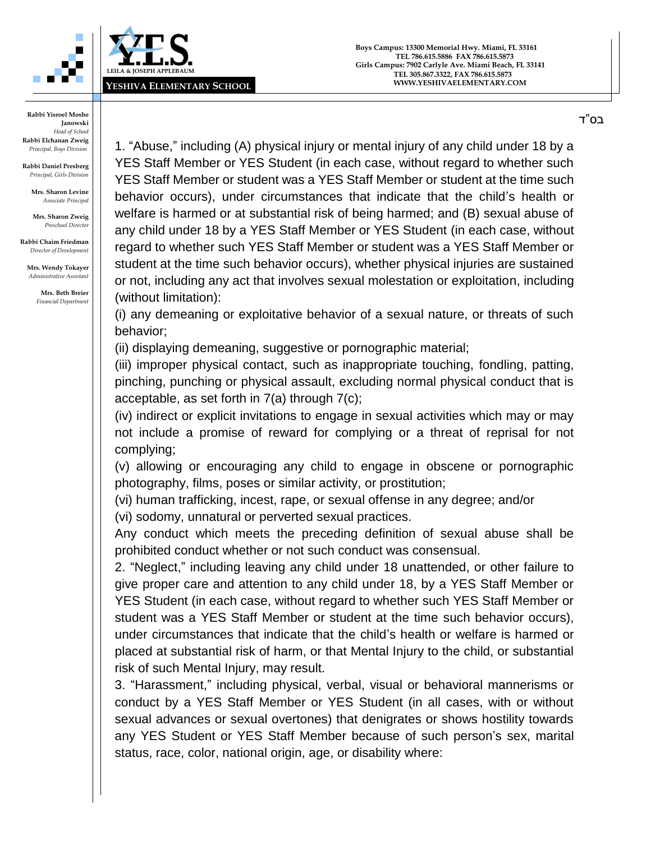



**Rabbi Daniel Presberg** *Principal, Girls Division*

> **Mrs. Sharon Levine** *Associate Principal*

**Mrs. Sharon Zweig** *Preschool Director*

**Rabbi Chaim Friedman** *Director of Development*

**Mrs. Wendy Tokayer** *Administrative Assistant*

> **Mrs. Beth Breier** *Financial Department*

1. "Abuse," including (A) physical injury or mental injury of any child under 18 by a YES Staff Member or YES Student (in each case, without regard to whether such YES Staff Member or student was a YES Staff Member or student at the time such behavior occurs), under circumstances that indicate that the child's health or welfare is harmed or at substantial risk of being harmed; and (B) sexual abuse of any child under 18 by a YES Staff Member or YES Student (in each case, without regard to whether such YES Staff Member or student was a YES Staff Member or student at the time such behavior occurs), whether physical injuries are sustained or not, including any act that involves sexual molestation or exploitation, including (without limitation):

(i) any demeaning or exploitative behavior of a sexual nature, or threats of such behavior;

(ii) displaying demeaning, suggestive or pornographic material;

(iii) improper physical contact, such as inappropriate touching, fondling, patting, pinching, punching or physical assault, excluding normal physical conduct that is acceptable, as set forth in 7(a) through 7(c);

(iv) indirect or explicit invitations to engage in sexual activities which may or may not include a promise of reward for complying or a threat of reprisal for not complying;

(v) allowing or encouraging any child to engage in obscene or pornographic photography, films, poses or similar activity, or prostitution;

(vi) human trafficking, incest, rape, or sexual offense in any degree; and/or

(vi) sodomy, unnatural or perverted sexual practices.

Any conduct which meets the preceding definition of sexual abuse shall be prohibited conduct whether or not such conduct was consensual.

2. "Neglect," including leaving any child under 18 unattended, or other failure to give proper care and attention to any child under 18, by a YES Staff Member or YES Student (in each case, without regard to whether such YES Staff Member or student was a YES Staff Member or student at the time such behavior occurs), under circumstances that indicate that the child's health or welfare is harmed or placed at substantial risk of harm, or that Mental Injury to the child, or substantial risk of such Mental Injury, may result.

3. "Harassment," including physical, verbal, visual or behavioral mannerisms or conduct by a YES Staff Member or YES Student (in all cases, with or without sexual advances or sexual overtones) that denigrates or shows hostility towards any YES Student or YES Staff Member because of such person's sex, marital status, race, color, national origin, age, or disability where: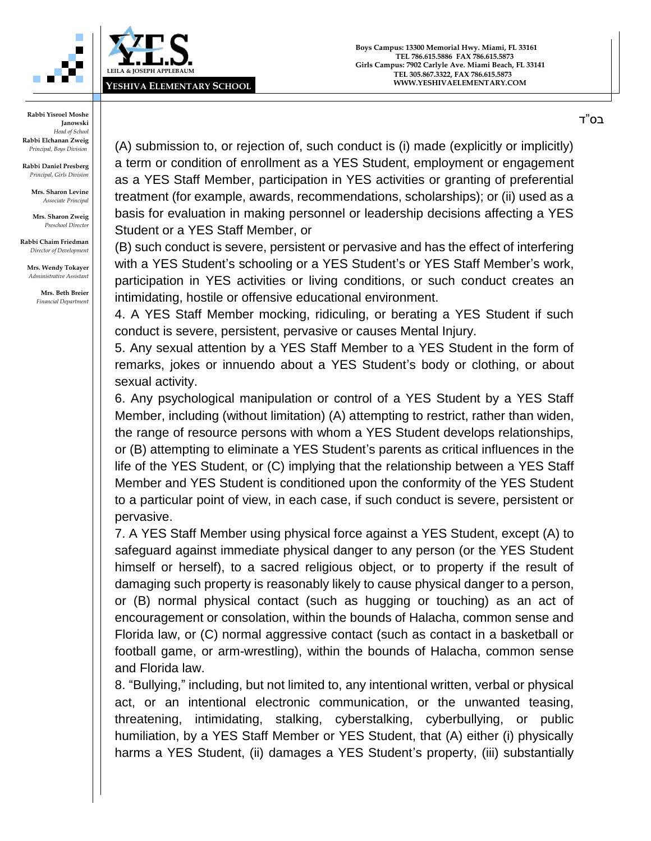



**Rabbi Daniel Presberg** *Principal, Girls Division*

> **Mrs. Sharon Levine** *Associate Principal*

**Mrs. Sharon Zweig** *Preschool Director*

**Rabbi Chaim Friedman** *Director of Development*

**Mrs. Wendy Tokayer** *Administrative Assistant*

> **Mrs. Beth Breier** *Financial Department*

(A) submission to, or rejection of, such conduct is (i) made (explicitly or implicitly) a term or condition of enrollment as a YES Student, employment or engagement as a YES Staff Member, participation in YES activities or granting of preferential treatment (for example, awards, recommendations, scholarships); or (ii) used as a basis for evaluation in making personnel or leadership decisions affecting a YES Student or a YES Staff Member, or

(B) such conduct is severe, persistent or pervasive and has the effect of interfering with a YES Student's schooling or a YES Student's or YES Staff Member's work, participation in YES activities or living conditions, or such conduct creates an intimidating, hostile or offensive educational environment.

4. A YES Staff Member mocking, ridiculing, or berating a YES Student if such conduct is severe, persistent, pervasive or causes Mental Injury.

5. Any sexual attention by a YES Staff Member to a YES Student in the form of remarks, jokes or innuendo about a YES Student's body or clothing, or about sexual activity.

6. Any psychological manipulation or control of a YES Student by a YES Staff Member, including (without limitation) (A) attempting to restrict, rather than widen, the range of resource persons with whom a YES Student develops relationships, or (B) attempting to eliminate a YES Student's parents as critical influences in the life of the YES Student, or (C) implying that the relationship between a YES Staff Member and YES Student is conditioned upon the conformity of the YES Student to a particular point of view, in each case, if such conduct is severe, persistent or pervasive.

7. A YES Staff Member using physical force against a YES Student, except (A) to safeguard against immediate physical danger to any person (or the YES Student himself or herself), to a sacred religious object, or to property if the result of damaging such property is reasonably likely to cause physical danger to a person, or (B) normal physical contact (such as hugging or touching) as an act of encouragement or consolation, within the bounds of Halacha, common sense and Florida law, or (C) normal aggressive contact (such as contact in a basketball or football game, or arm-wrestling), within the bounds of Halacha, common sense and Florida law.

8. "Bullying," including, but not limited to, any intentional written, verbal or physical act, or an intentional electronic communication, or the unwanted teasing, threatening, intimidating, stalking, cyberstalking, cyberbullying, or public humiliation, by a YES Staff Member or YES Student, that (A) either (i) physically harms a YES Student, (ii) damages a YES Student's property, (iii) substantially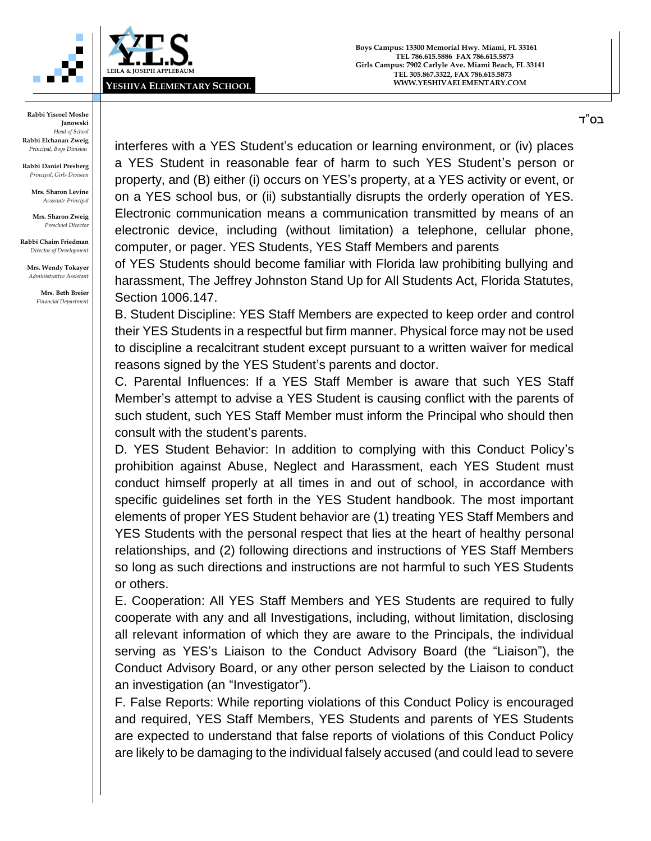



**Rabbi Daniel Presberg** *Principal, Girls Division*

> **Mrs. Sharon Levine** *Associate Principal*

**Mrs. Sharon Zweig** *Preschool Director*

**Rabbi Chaim Friedman** *Director of Development*

**Mrs. Wendy Tokayer** *Administrative Assistant*

> **Mrs. Beth Breier** *Financial Department*

interferes with a YES Student's education or learning environment, or (iv) places a YES Student in reasonable fear of harm to such YES Student's person or property, and (B) either (i) occurs on YES's property, at a YES activity or event, or on a YES school bus, or (ii) substantially disrupts the orderly operation of YES. Electronic communication means a communication transmitted by means of an electronic device, including (without limitation) a telephone, cellular phone, computer, or pager. YES Students, YES Staff Members and parents

of YES Students should become familiar with Florida law prohibiting bullying and harassment, The Jeffrey Johnston Stand Up for All Students Act, Florida Statutes, Section 1006.147.

B. Student Discipline: YES Staff Members are expected to keep order and control their YES Students in a respectful but firm manner. Physical force may not be used to discipline a recalcitrant student except pursuant to a written waiver for medical reasons signed by the YES Student's parents and doctor.

C. Parental Influences: If a YES Staff Member is aware that such YES Staff Member's attempt to advise a YES Student is causing conflict with the parents of such student, such YES Staff Member must inform the Principal who should then consult with the student's parents.

D. YES Student Behavior: In addition to complying with this Conduct Policy's prohibition against Abuse, Neglect and Harassment, each YES Student must conduct himself properly at all times in and out of school, in accordance with specific guidelines set forth in the YES Student handbook. The most important elements of proper YES Student behavior are (1) treating YES Staff Members and YES Students with the personal respect that lies at the heart of healthy personal relationships, and (2) following directions and instructions of YES Staff Members so long as such directions and instructions are not harmful to such YES Students or others.

E. Cooperation: All YES Staff Members and YES Students are required to fully cooperate with any and all Investigations, including, without limitation, disclosing all relevant information of which they are aware to the Principals, the individual serving as YES's Liaison to the Conduct Advisory Board (the "Liaison"), the Conduct Advisory Board, or any other person selected by the Liaison to conduct an investigation (an "Investigator").

F. False Reports: While reporting violations of this Conduct Policy is encouraged and required, YES Staff Members, YES Students and parents of YES Students are expected to understand that false reports of violations of this Conduct Policy are likely to be damaging to the individual falsely accused (and could lead to severe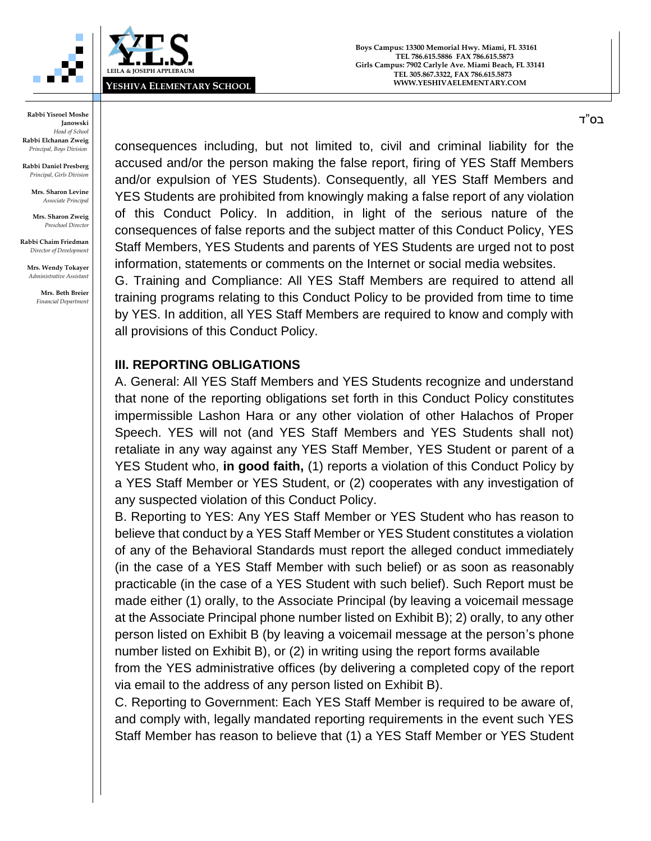



**Rabbi Daniel Presberg** *Principal, Girls Division*

> **Mrs. Sharon Levine** *Associate Principal*

**Mrs. Sharon Zweig** *Preschool Director*

**Rabbi Chaim Friedman** *Director of Development*

**Mrs. Wendy Tokayer** *Administrative Assistant*

> **Mrs. Beth Breier** *Financial Department*

consequences including, but not limited to, civil and criminal liability for the accused and/or the person making the false report, firing of YES Staff Members and/or expulsion of YES Students). Consequently, all YES Staff Members and YES Students are prohibited from knowingly making a false report of any violation of this Conduct Policy. In addition, in light of the serious nature of the consequences of false reports and the subject matter of this Conduct Policy, YES Staff Members, YES Students and parents of YES Students are urged not to post information, statements or comments on the Internet or social media websites.

G. Training and Compliance: All YES Staff Members are required to attend all training programs relating to this Conduct Policy to be provided from time to time by YES. In addition, all YES Staff Members are required to know and comply with all provisions of this Conduct Policy.

## **III. REPORTING OBLIGATIONS**

A. General: All YES Staff Members and YES Students recognize and understand that none of the reporting obligations set forth in this Conduct Policy constitutes impermissible Lashon Hara or any other violation of other Halachos of Proper Speech. YES will not (and YES Staff Members and YES Students shall not) retaliate in any way against any YES Staff Member, YES Student or parent of a YES Student who, **in good faith,** (1) reports a violation of this Conduct Policy by a YES Staff Member or YES Student, or (2) cooperates with any investigation of any suspected violation of this Conduct Policy.

B. Reporting to YES: Any YES Staff Member or YES Student who has reason to believe that conduct by a YES Staff Member or YES Student constitutes a violation of any of the Behavioral Standards must report the alleged conduct immediately (in the case of a YES Staff Member with such belief) or as soon as reasonably practicable (in the case of a YES Student with such belief). Such Report must be made either (1) orally, to the Associate Principal (by leaving a voicemail message at the Associate Principal phone number listed on Exhibit B); 2) orally, to any other person listed on Exhibit B (by leaving a voicemail message at the person's phone number listed on Exhibit B), or (2) in writing using the report forms available from the YES administrative offices (by delivering a completed copy of the report

via email to the address of any person listed on Exhibit B).

C. Reporting to Government: Each YES Staff Member is required to be aware of, and comply with, legally mandated reporting requirements in the event such YES Staff Member has reason to believe that (1) a YES Staff Member or YES Student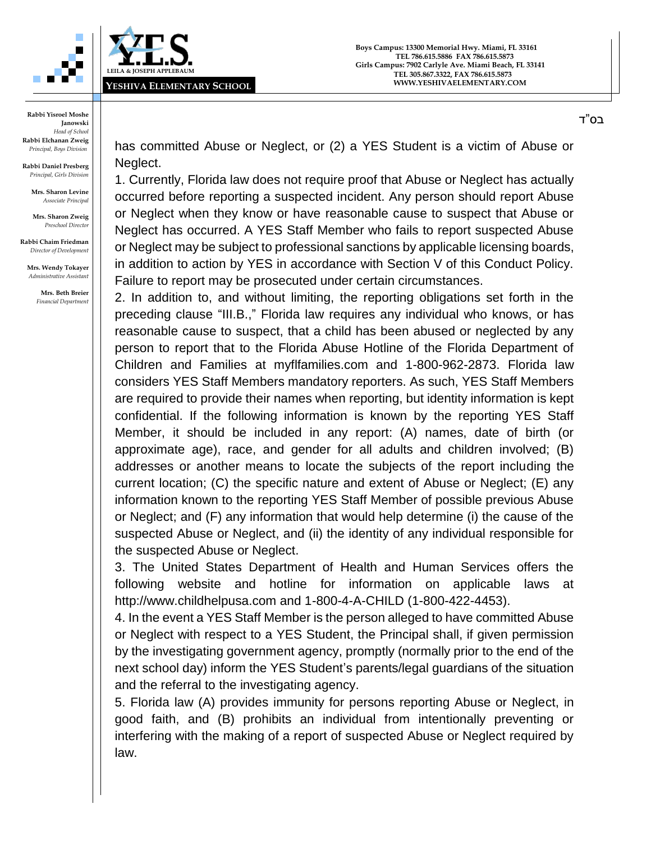

**Rabbi Yisroel Moshe Janowski** *Head of School* **Rabbi Elchanan Zweig** *Principal, Boys Division*

**Rabbi Daniel Presberg** *Principal, Girls Division*

> **Mrs. Sharon Levine** *Associate Principal*

**Mrs. Sharon Zweig** *Preschool Director*

**Rabbi Chaim Friedman** *Director of Development*

**Mrs. Wendy Tokayer** *Administrative Assistant*

> **Mrs. Beth Breier** *Financial Department*

has committed Abuse or Neglect, or (2) a YES Student is a victim of Abuse or Neglect.

1. Currently, Florida law does not require proof that Abuse or Neglect has actually occurred before reporting a suspected incident. Any person should report Abuse or Neglect when they know or have reasonable cause to suspect that Abuse or Neglect has occurred. A YES Staff Member who fails to report suspected Abuse or Neglect may be subject to professional sanctions by applicable licensing boards, in addition to action by YES in accordance with Section V of this Conduct Policy. Failure to report may be prosecuted under certain circumstances.

2. In addition to, and without limiting, the reporting obligations set forth in the preceding clause "III.B.," Florida law requires any individual who knows, or has reasonable cause to suspect, that a child has been abused or neglected by any person to report that to the Florida Abuse Hotline of the Florida Department of Children and Families at myflfamilies.com and 1-800-962-2873. Florida law considers YES Staff Members mandatory reporters. As such, YES Staff Members are required to provide their names when reporting, but identity information is kept confidential. If the following information is known by the reporting YES Staff Member, it should be included in any report: (A) names, date of birth (or approximate age), race, and gender for all adults and children involved; (B) addresses or another means to locate the subjects of the report including the current location; (C) the specific nature and extent of Abuse or Neglect; (E) any information known to the reporting YES Staff Member of possible previous Abuse or Neglect; and (F) any information that would help determine (i) the cause of the suspected Abuse or Neglect, and (ii) the identity of any individual responsible for the suspected Abuse or Neglect.

3. The United States Department of Health and Human Services offers the following website and hotline for information on applicable laws at http://www.childhelpusa.com and 1-800-4-A-CHILD (1-800-422-4453).

4. In the event a YES Staff Member is the person alleged to have committed Abuse or Neglect with respect to a YES Student, the Principal shall, if given permission by the investigating government agency, promptly (normally prior to the end of the next school day) inform the YES Student's parents/legal guardians of the situation and the referral to the investigating agency.

5. Florida law (A) provides immunity for persons reporting Abuse or Neglect, in good faith, and (B) prohibits an individual from intentionally preventing or interfering with the making of a report of suspected Abuse or Neglect required by law.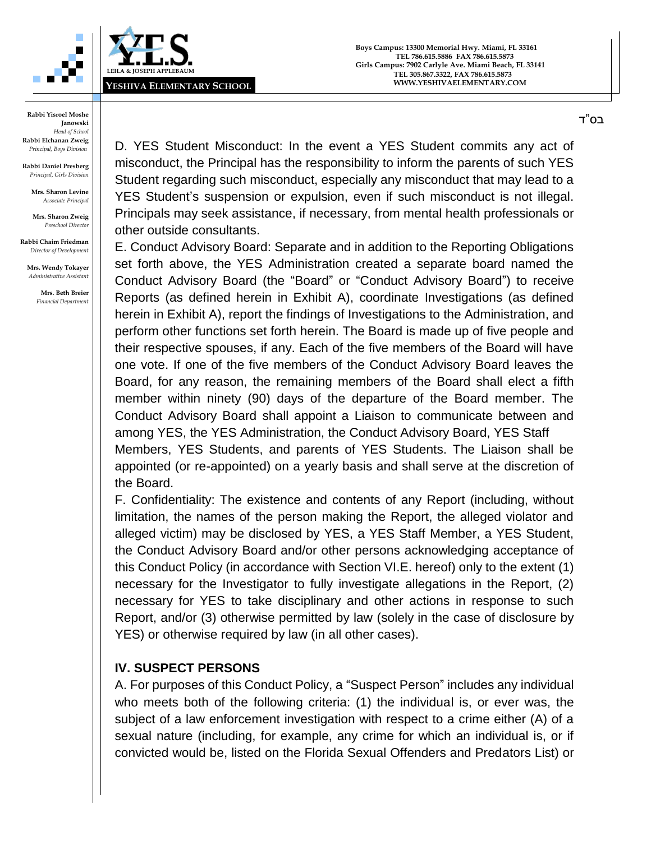

**Boys Campus: 13300 Memorial Hwy. Miami, FL 33161 TEL 786.615.5886 FAX 786.615.5873 Girls Campus: 7902 Carlyle Ave. Miami Beach, FL 33141 TEL 305.867.3322, FAX 786.615.5873 WWW.YESHIVAELEMENTARY.COM**

**Rabbi Yisroel Moshe Janowski** *Head of School* **Rabbi Elchanan Zweig** *Principal, Boys Division*

**Rabbi Daniel Presberg** *Principal, Girls Division*

> **Mrs. Sharon Levine** *Associate Principal*

**Mrs. Sharon Zweig** *Preschool Director*

**Rabbi Chaim Friedman** *Director of Development*

**Mrs. Wendy Tokayer** *Administrative Assistant*

> **Mrs. Beth Breier** *Financial Department*

D. YES Student Misconduct: In the event a YES Student commits any act of misconduct, the Principal has the responsibility to inform the parents of such YES Student regarding such misconduct, especially any misconduct that may lead to a YES Student's suspension or expulsion, even if such misconduct is not illegal. Principals may seek assistance, if necessary, from mental health professionals or other outside consultants.

E. Conduct Advisory Board: Separate and in addition to the Reporting Obligations set forth above, the YES Administration created a separate board named the Conduct Advisory Board (the "Board" or "Conduct Advisory Board") to receive Reports (as defined herein in Exhibit A), coordinate Investigations (as defined herein in Exhibit A), report the findings of Investigations to the Administration, and perform other functions set forth herein. The Board is made up of five people and their respective spouses, if any. Each of the five members of the Board will have one vote. If one of the five members of the Conduct Advisory Board leaves the Board, for any reason, the remaining members of the Board shall elect a fifth member within ninety (90) days of the departure of the Board member. The Conduct Advisory Board shall appoint a Liaison to communicate between and among YES, the YES Administration, the Conduct Advisory Board, YES Staff

Members, YES Students, and parents of YES Students. The Liaison shall be appointed (or re-appointed) on a yearly basis and shall serve at the discretion of the Board.

F. Confidentiality: The existence and contents of any Report (including, without limitation, the names of the person making the Report, the alleged violator and alleged victim) may be disclosed by YES, a YES Staff Member, a YES Student, the Conduct Advisory Board and/or other persons acknowledging acceptance of this Conduct Policy (in accordance with Section VI.E. hereof) only to the extent (1) necessary for the Investigator to fully investigate allegations in the Report, (2) necessary for YES to take disciplinary and other actions in response to such Report, and/or (3) otherwise permitted by law (solely in the case of disclosure by YES) or otherwise required by law (in all other cases).

## **IV. SUSPECT PERSONS**

A. For purposes of this Conduct Policy, a "Suspect Person" includes any individual who meets both of the following criteria: (1) the individual is, or ever was, the subject of a law enforcement investigation with respect to a crime either (A) of a sexual nature (including, for example, any crime for which an individual is, or if convicted would be, listed on the Florida Sexual Offenders and Predators List) or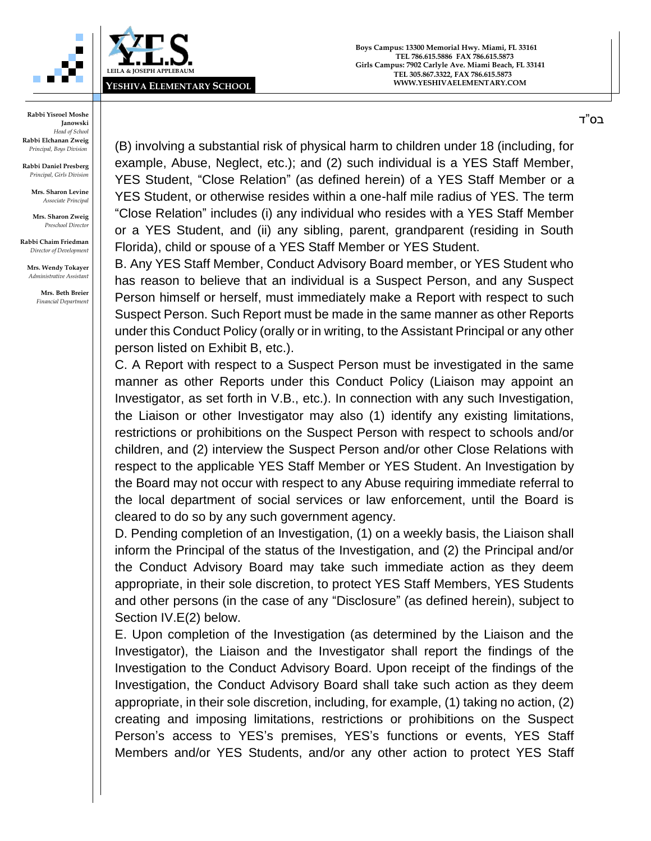



**Rabbi Daniel Presberg** *Principal, Girls Division*

> **Mrs. Sharon Levine** *Associate Principal*

**Mrs. Sharon Zweig** *Preschool Director*

**Rabbi Chaim Friedman** *Director of Development*

**Mrs. Wendy Tokayer** *Administrative Assistant*

> **Mrs. Beth Breier** *Financial Department*

(B) involving a substantial risk of physical harm to children under 18 (including, for example, Abuse, Neglect, etc.); and (2) such individual is a YES Staff Member, YES Student, "Close Relation" (as defined herein) of a YES Staff Member or a YES Student, or otherwise resides within a one-half mile radius of YES. The term "Close Relation" includes (i) any individual who resides with a YES Staff Member or a YES Student, and (ii) any sibling, parent, grandparent (residing in South Florida), child or spouse of a YES Staff Member or YES Student.

B. Any YES Staff Member, Conduct Advisory Board member, or YES Student who has reason to believe that an individual is a Suspect Person, and any Suspect Person himself or herself, must immediately make a Report with respect to such Suspect Person. Such Report must be made in the same manner as other Reports under this Conduct Policy (orally or in writing, to the Assistant Principal or any other person listed on Exhibit B, etc.).

C. A Report with respect to a Suspect Person must be investigated in the same manner as other Reports under this Conduct Policy (Liaison may appoint an Investigator, as set forth in V.B., etc.). In connection with any such Investigation, the Liaison or other Investigator may also (1) identify any existing limitations, restrictions or prohibitions on the Suspect Person with respect to schools and/or children, and (2) interview the Suspect Person and/or other Close Relations with respect to the applicable YES Staff Member or YES Student. An Investigation by the Board may not occur with respect to any Abuse requiring immediate referral to the local department of social services or law enforcement, until the Board is cleared to do so by any such government agency.

D. Pending completion of an Investigation, (1) on a weekly basis, the Liaison shall inform the Principal of the status of the Investigation, and (2) the Principal and/or the Conduct Advisory Board may take such immediate action as they deem appropriate, in their sole discretion, to protect YES Staff Members, YES Students and other persons (in the case of any "Disclosure" (as defined herein), subject to Section IV.E(2) below.

E. Upon completion of the Investigation (as determined by the Liaison and the Investigator), the Liaison and the Investigator shall report the findings of the Investigation to the Conduct Advisory Board. Upon receipt of the findings of the Investigation, the Conduct Advisory Board shall take such action as they deem appropriate, in their sole discretion, including, for example, (1) taking no action, (2) creating and imposing limitations, restrictions or prohibitions on the Suspect Person's access to YES's premises, YES's functions or events, YES Staff Members and/or YES Students, and/or any other action to protect YES Staff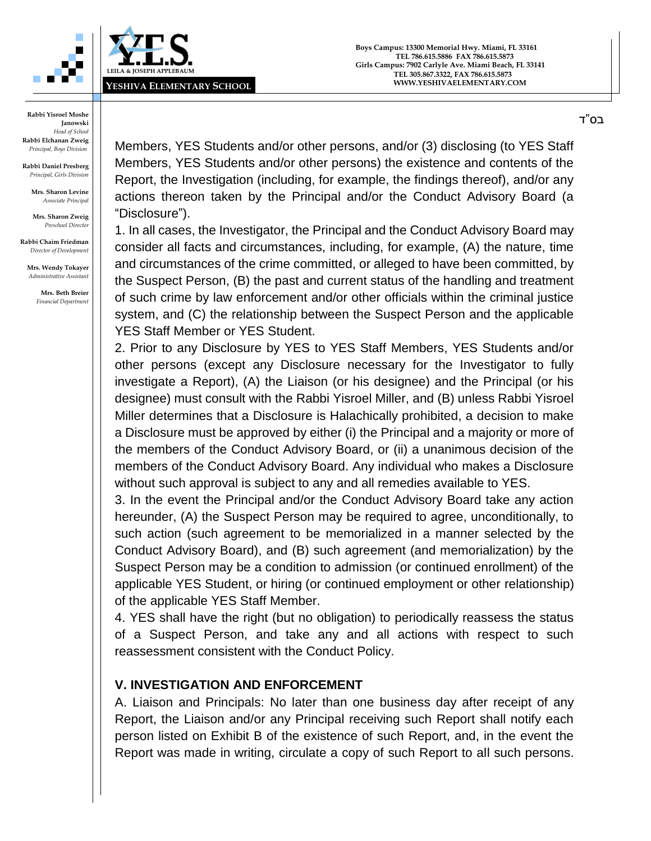



**Rabbi Daniel Presberg** *Principal, Girls Division*

> **Mrs. Sharon Levine** *Associate Principal*

**Mrs. Sharon Zweig** *Preschool Director*

**Rabbi Chaim Friedman** *Director of Development*

**Mrs. Wendy Tokayer** *Administrative Assistant*

> **Mrs. Beth Breier** *Financial Department*

Members, YES Students and/or other persons, and/or (3) disclosing (to YES Staff Members, YES Students and/or other persons) the existence and contents of the Report, the Investigation (including, for example, the findings thereof), and/or any actions thereon taken by the Principal and/or the Conduct Advisory Board (a "Disclosure").

1. In all cases, the Investigator, the Principal and the Conduct Advisory Board may consider all facts and circumstances, including, for example, (A) the nature, time and circumstances of the crime committed, or alleged to have been committed, by the Suspect Person, (B) the past and current status of the handling and treatment of such crime by law enforcement and/or other officials within the criminal justice system, and (C) the relationship between the Suspect Person and the applicable YES Staff Member or YES Student.

2. Prior to any Disclosure by YES to YES Staff Members, YES Students and/or other persons (except any Disclosure necessary for the Investigator to fully investigate a Report), (A) the Liaison (or his designee) and the Principal (or his designee) must consult with the Rabbi Yisroel Miller, and (B) unless Rabbi Yisroel Miller determines that a Disclosure is Halachically prohibited, a decision to make a Disclosure must be approved by either (i) the Principal and a majority or more of the members of the Conduct Advisory Board, or (ii) a unanimous decision of the members of the Conduct Advisory Board. Any individual who makes a Disclosure without such approval is subject to any and all remedies available to YES.

3. In the event the Principal and/or the Conduct Advisory Board take any action hereunder, (A) the Suspect Person may be required to agree, unconditionally, to such action (such agreement to be memorialized in a manner selected by the Conduct Advisory Board), and (B) such agreement (and memorialization) by the Suspect Person may be a condition to admission (or continued enrollment) of the applicable YES Student, or hiring (or continued employment or other relationship) of the applicable YES Staff Member.

4. YES shall have the right (but no obligation) to periodically reassess the status of a Suspect Person, and take any and all actions with respect to such reassessment consistent with the Conduct Policy.

## **V. INVESTIGATION AND ENFORCEMENT**

A. Liaison and Principals: No later than one business day after receipt of any Report, the Liaison and/or any Principal receiving such Report shall notify each person listed on Exhibit B of the existence of such Report, and, in the event the Report was made in writing, circulate a copy of such Report to all such persons.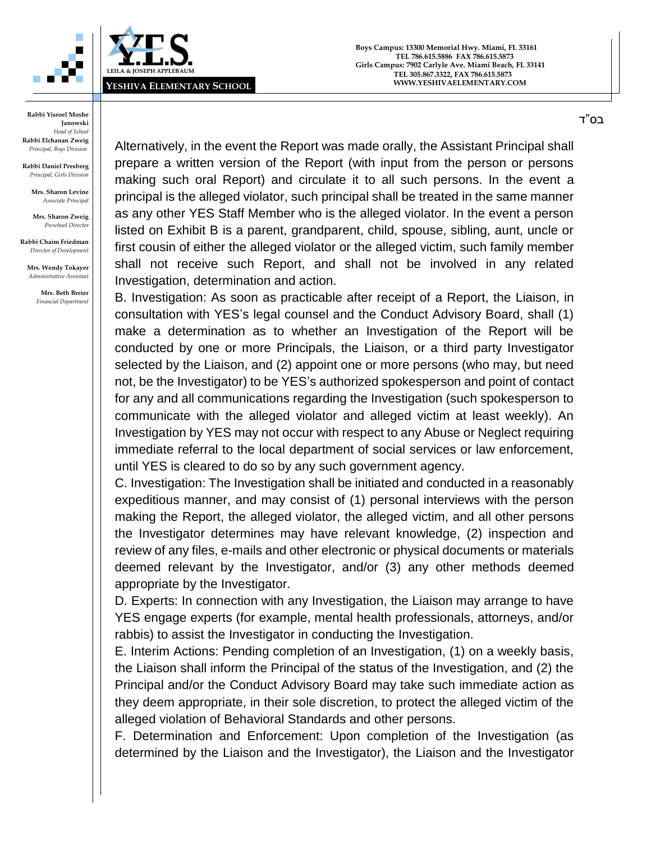



**Rabbi Daniel Presberg** *Principal, Girls Division*

> **Mrs. Sharon Levine** *Associate Principal*

**Mrs. Sharon Zweig** *Preschool Director*

**Rabbi Chaim Friedman** *Director of Development*

**Mrs. Wendy Tokayer** *Administrative Assistant*

> **Mrs. Beth Breier** *Financial Department*

Alternatively, in the event the Report was made orally, the Assistant Principal shall prepare a written version of the Report (with input from the person or persons making such oral Report) and circulate it to all such persons. In the event a principal is the alleged violator, such principal shall be treated in the same manner as any other YES Staff Member who is the alleged violator. In the event a person listed on Exhibit B is a parent, grandparent, child, spouse, sibling, aunt, uncle or first cousin of either the alleged violator or the alleged victim, such family member shall not receive such Report, and shall not be involved in any related Investigation, determination and action.

B. Investigation: As soon as practicable after receipt of a Report, the Liaison, in consultation with YES's legal counsel and the Conduct Advisory Board, shall (1) make a determination as to whether an Investigation of the Report will be conducted by one or more Principals, the Liaison, or a third party Investigator selected by the Liaison, and (2) appoint one or more persons (who may, but need not, be the Investigator) to be YES's authorized spokesperson and point of contact for any and all communications regarding the Investigation (such spokesperson to communicate with the alleged violator and alleged victim at least weekly). An Investigation by YES may not occur with respect to any Abuse or Neglect requiring immediate referral to the local department of social services or law enforcement, until YES is cleared to do so by any such government agency.

C. Investigation: The Investigation shall be initiated and conducted in a reasonably expeditious manner, and may consist of (1) personal interviews with the person making the Report, the alleged violator, the alleged victim, and all other persons the Investigator determines may have relevant knowledge, (2) inspection and review of any files, e-mails and other electronic or physical documents or materials deemed relevant by the Investigator, and/or (3) any other methods deemed appropriate by the Investigator.

D. Experts: In connection with any Investigation, the Liaison may arrange to have YES engage experts (for example, mental health professionals, attorneys, and/or rabbis) to assist the Investigator in conducting the Investigation.

E. Interim Actions: Pending completion of an Investigation, (1) on a weekly basis, the Liaison shall inform the Principal of the status of the Investigation, and (2) the Principal and/or the Conduct Advisory Board may take such immediate action as they deem appropriate, in their sole discretion, to protect the alleged victim of the alleged violation of Behavioral Standards and other persons.

F. Determination and Enforcement: Upon completion of the Investigation (as determined by the Liaison and the Investigator), the Liaison and the Investigator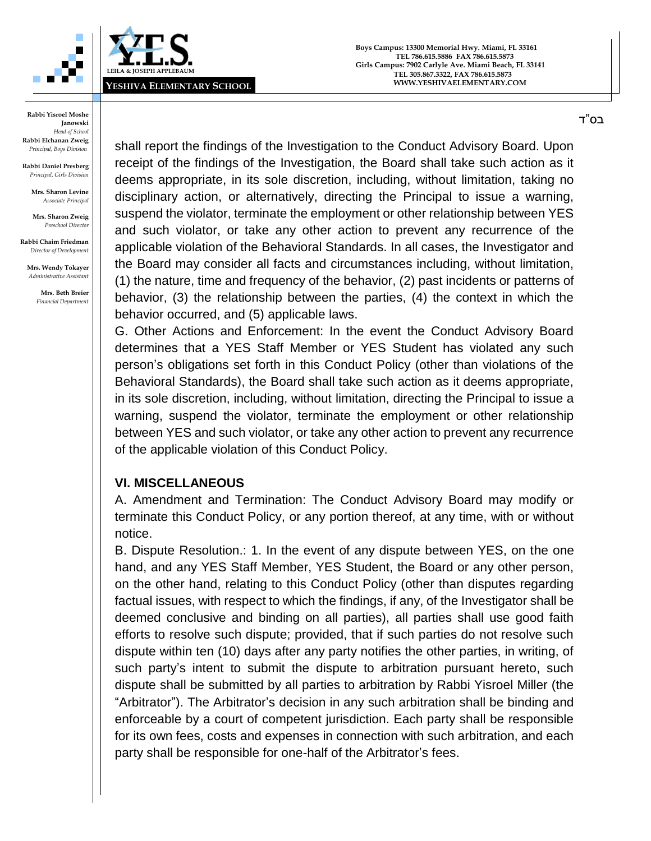



**Rabbi Daniel Presberg** *Principal, Girls Division*

> **Mrs. Sharon Levine** *Associate Principal*

**Mrs. Sharon Zweig** *Preschool Director*

**Rabbi Chaim Friedman** *Director of Development*

**Mrs. Wendy Tokayer** *Administrative Assistant*

> **Mrs. Beth Breier** *Financial Department*

shall report the findings of the Investigation to the Conduct Advisory Board. Upon receipt of the findings of the Investigation, the Board shall take such action as it deems appropriate, in its sole discretion, including, without limitation, taking no disciplinary action, or alternatively, directing the Principal to issue a warning, suspend the violator, terminate the employment or other relationship between YES and such violator, or take any other action to prevent any recurrence of the applicable violation of the Behavioral Standards. In all cases, the Investigator and the Board may consider all facts and circumstances including, without limitation, (1) the nature, time and frequency of the behavior, (2) past incidents or patterns of behavior, (3) the relationship between the parties, (4) the context in which the behavior occurred, and (5) applicable laws.

G. Other Actions and Enforcement: In the event the Conduct Advisory Board determines that a YES Staff Member or YES Student has violated any such person's obligations set forth in this Conduct Policy (other than violations of the Behavioral Standards), the Board shall take such action as it deems appropriate, in its sole discretion, including, without limitation, directing the Principal to issue a warning, suspend the violator, terminate the employment or other relationship between YES and such violator, or take any other action to prevent any recurrence of the applicable violation of this Conduct Policy.

## **VI. MISCELLANEOUS**

A. Amendment and Termination: The Conduct Advisory Board may modify or terminate this Conduct Policy, or any portion thereof, at any time, with or without notice.

B. Dispute Resolution.: 1. In the event of any dispute between YES, on the one hand, and any YES Staff Member, YES Student, the Board or any other person, on the other hand, relating to this Conduct Policy (other than disputes regarding factual issues, with respect to which the findings, if any, of the Investigator shall be deemed conclusive and binding on all parties), all parties shall use good faith efforts to resolve such dispute; provided, that if such parties do not resolve such dispute within ten (10) days after any party notifies the other parties, in writing, of such party's intent to submit the dispute to arbitration pursuant hereto, such dispute shall be submitted by all parties to arbitration by Rabbi Yisroel Miller (the "Arbitrator"). The Arbitrator's decision in any such arbitration shall be binding and enforceable by a court of competent jurisdiction. Each party shall be responsible for its own fees, costs and expenses in connection with such arbitration, and each party shall be responsible for one-half of the Arbitrator's fees.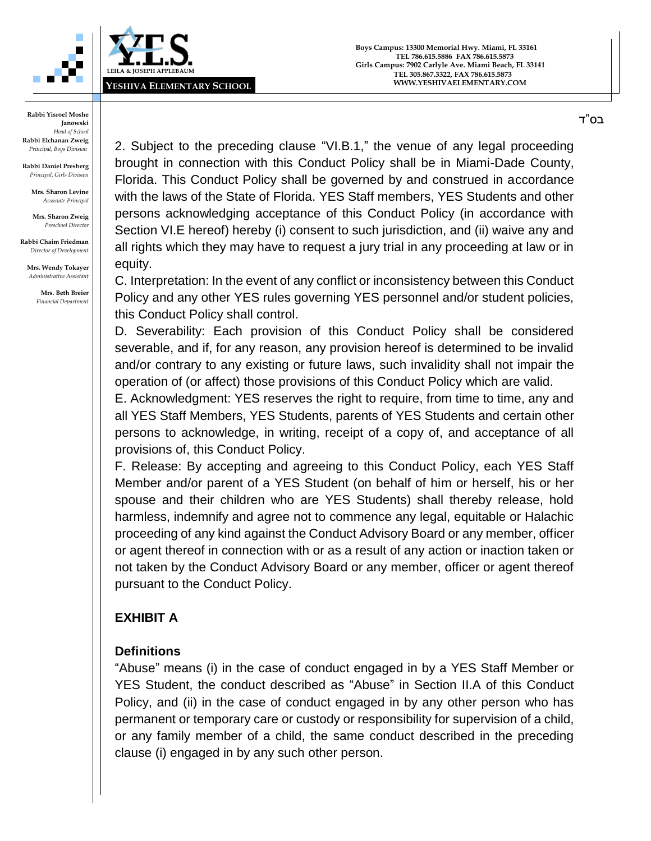



**Rabbi Daniel Presberg** *Principal, Girls Division*

> **Mrs. Sharon Levine** *Associate Principal*

**Mrs. Sharon Zweig** *Preschool Director*

**Rabbi Chaim Friedman** *Director of Development*

**Mrs. Wendy Tokayer** *Administrative Assistant*

> **Mrs. Beth Breier** *Financial Department*

2. Subject to the preceding clause "VI.B.1," the venue of any legal proceeding brought in connection with this Conduct Policy shall be in Miami-Dade County, Florida. This Conduct Policy shall be governed by and construed in accordance with the laws of the State of Florida. YES Staff members, YES Students and other persons acknowledging acceptance of this Conduct Policy (in accordance with Section VI.E hereof) hereby (i) consent to such jurisdiction, and (ii) waive any and all rights which they may have to request a jury trial in any proceeding at law or in equity.

C. Interpretation: In the event of any conflict or inconsistency between this Conduct Policy and any other YES rules governing YES personnel and/or student policies, this Conduct Policy shall control.

D. Severability: Each provision of this Conduct Policy shall be considered severable, and if, for any reason, any provision hereof is determined to be invalid and/or contrary to any existing or future laws, such invalidity shall not impair the operation of (or affect) those provisions of this Conduct Policy which are valid.

E. Acknowledgment: YES reserves the right to require, from time to time, any and all YES Staff Members, YES Students, parents of YES Students and certain other persons to acknowledge, in writing, receipt of a copy of, and acceptance of all provisions of, this Conduct Policy.

F. Release: By accepting and agreeing to this Conduct Policy, each YES Staff Member and/or parent of a YES Student (on behalf of him or herself, his or her spouse and their children who are YES Students) shall thereby release, hold harmless, indemnify and agree not to commence any legal, equitable or Halachic proceeding of any kind against the Conduct Advisory Board or any member, officer or agent thereof in connection with or as a result of any action or inaction taken or not taken by the Conduct Advisory Board or any member, officer or agent thereof pursuant to the Conduct Policy.

## **EXHIBIT A**

## **Definitions**

"Abuse" means (i) in the case of conduct engaged in by a YES Staff Member or YES Student, the conduct described as "Abuse" in Section II.A of this Conduct Policy, and (ii) in the case of conduct engaged in by any other person who has permanent or temporary care or custody or responsibility for supervision of a child, or any family member of a child, the same conduct described in the preceding clause (i) engaged in by any such other person.